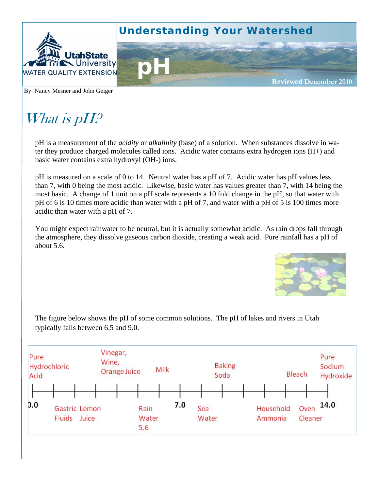

By: Nancy Mesner and John Geiger

# What is pH?

pH is a measurement of the *acidity* or *alkalinity* (base) of a solution. When substances dissolve in water they produce charged molecules called ions. Acidic water contains extra hydrogen ions (H+) and basic water contains extra hydroxyl (OH-) ions.

pH is measured on a scale of 0 to 14. Neutral water has a pH of 7. Acidic water has pH values less than 7, with 0 being the most acidic. Likewise, basic water has values greater than 7, with 14 being the most basic. A change of 1 unit on a pH scale represents a 10 fold change in the pH, so that water with pH of 6 is 10 times more acidic than water with a pH of 7, and water with a pH of 5 is 100 times more acidic than water with a pH of 7.

You might expect rainwater to be neutral, but it is actually somewhat acidic. As rain drops fall through the atmosphere, they dissolve gaseous carbon dioxide, creating a weak acid. Pure rainfall has a pH of about 5.6.



The figure below shows the pH of some common solutions. The pH of lakes and rivers in Utah typically falls between 6.5 and 9.0.

| Pure<br>Hydrochloric<br>Acid |        | Vinegar,<br>Wine,<br>Milk<br>Orange Juice |  |  |                      |  |     | <b>Baking</b><br>Soda |              |  |  |                      |  | Bleach |                         | Pure<br>Sodium<br>Hydroxide |  |
|------------------------------|--------|-------------------------------------------|--|--|----------------------|--|-----|-----------------------|--------------|--|--|----------------------|--|--------|-------------------------|-----------------------------|--|
|                              |        |                                           |  |  |                      |  |     |                       |              |  |  |                      |  |        |                         |                             |  |
| 0.0                          | Fluids | Gastric Lemon<br>Juice                    |  |  | Rain<br>Water<br>5.6 |  | 7.0 |                       | Sea<br>Water |  |  | Household<br>Ammonia |  |        | 14.0<br>Oven<br>Cleaner |                             |  |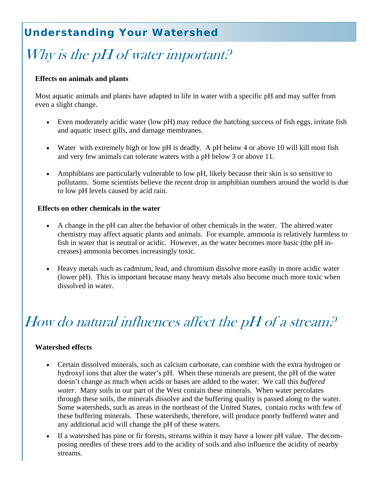### **Understanding Your Watershed**

## Why is the pH of water important.<sup>2</sup>

### **Effects on animals and plants**

Most aquatic animals and plants have adapted to life in water with a specific pH and may suffer from even a slight change.

- Even moderately acidic water (low pH) may reduce the hatching success of fish eggs, irritate fish and aquatic insect gills, and damage membranes.
- Water with extremely high or low pH is deadly. A pH below 4 or above 10 will kill most fish and very few animals can tolerate waters with a pH below 3 or above 11.
- Amphibians are particularly vulnerable to low pH, likely because their skin is so sensitive to pollutants. Some scientists believe the recent drop in amphibian numbers around the world is due to low pH levels caused by acid rain.

#### **Effects on other chemicals in the water**

- A change in the pH can alter the behavior of other chemicals in the water. The altered water chemistry may affect aquatic plants and animals. For example, ammonia is relatively harmless to fish in water that is neutral or acidic. However, as the water becomes more basic (the pH increases) ammonia becomes increasingly toxic.
- Heavy metals such as cadmium, lead, and chromium dissolve more easily in more acidic water (lower pH). This is important because many heavy metals also become much more toxic when dissolved in water.

# How do natural influences affect the pH of a stream?

#### **Watershed effects**

- Certain dissolved minerals, such as calcium carbonate, can combine with the extra hydrogen or hydroxyl ions that alter the water's pH. When these minerals are present, the pH of the water doesn't change as much when acids or bases are added to the water. We call this *buffered water*. Many soils in our part of the West contain these minerals. When water percolates through these soils, the minerals dissolve and the buffering quality is passed along to the water. Some watersheds, such as areas in the northeast of the United States, contain rocks with few of these buffering minerals. These watersheds, therefore, will produce poorly buffered water and any additional acid will change the pH of these waters.
- If a watershed has pine or fir forests, streams within it may have a lower pH value. The decomposing needles of these trees add to the acidity of soils and also influence the acidity of nearby streams.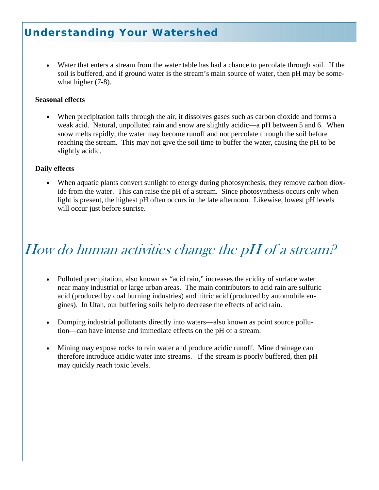### **Understanding Your Watershed**

• Water that enters a stream from the water table has had a chance to percolate through soil. If the soil is buffered, and if ground water is the stream's main source of water, then pH may be somewhat higher  $(7-8)$ .

#### **Seasonal effects**

• When precipitation falls through the air, it dissolves gases such as carbon dioxide and forms a weak acid. Natural, unpolluted rain and snow are slightly acidic—a pH between 5 and 6. When snow melts rapidly, the water may become runoff and not percolate through the soil before reaching the stream. This may not give the soil time to buffer the water, causing the pH to be slightly acidic.

### **Daily effects**

• When aquatic plants convert sunlight to energy during photosynthesis, they remove carbon dioxide from the water. This can raise the pH of a stream. Since photosynthesis occurs only when light is present, the highest pH often occurs in the late afternoon. Likewise, lowest pH levels will occur just before sunrise.

# How do human activities change the pH of a stream?

- Polluted precipitation, also known as "acid rain," increases the acidity of surface water near many industrial or large urban areas. The main contributors to acid rain are sulfuric acid (produced by coal burning industries) and nitric acid (produced by automobile engines). In Utah, our buffering soils help to decrease the effects of acid rain.
- Dumping industrial pollutants directly into waters—also known as point source pollution—can have intense and immediate effects on the pH of a stream.
- Mining may expose rocks to rain water and produce acidic runoff. Mine drainage can therefore introduce acidic water into streams. If the stream is poorly buffered, then pH may quickly reach toxic levels.